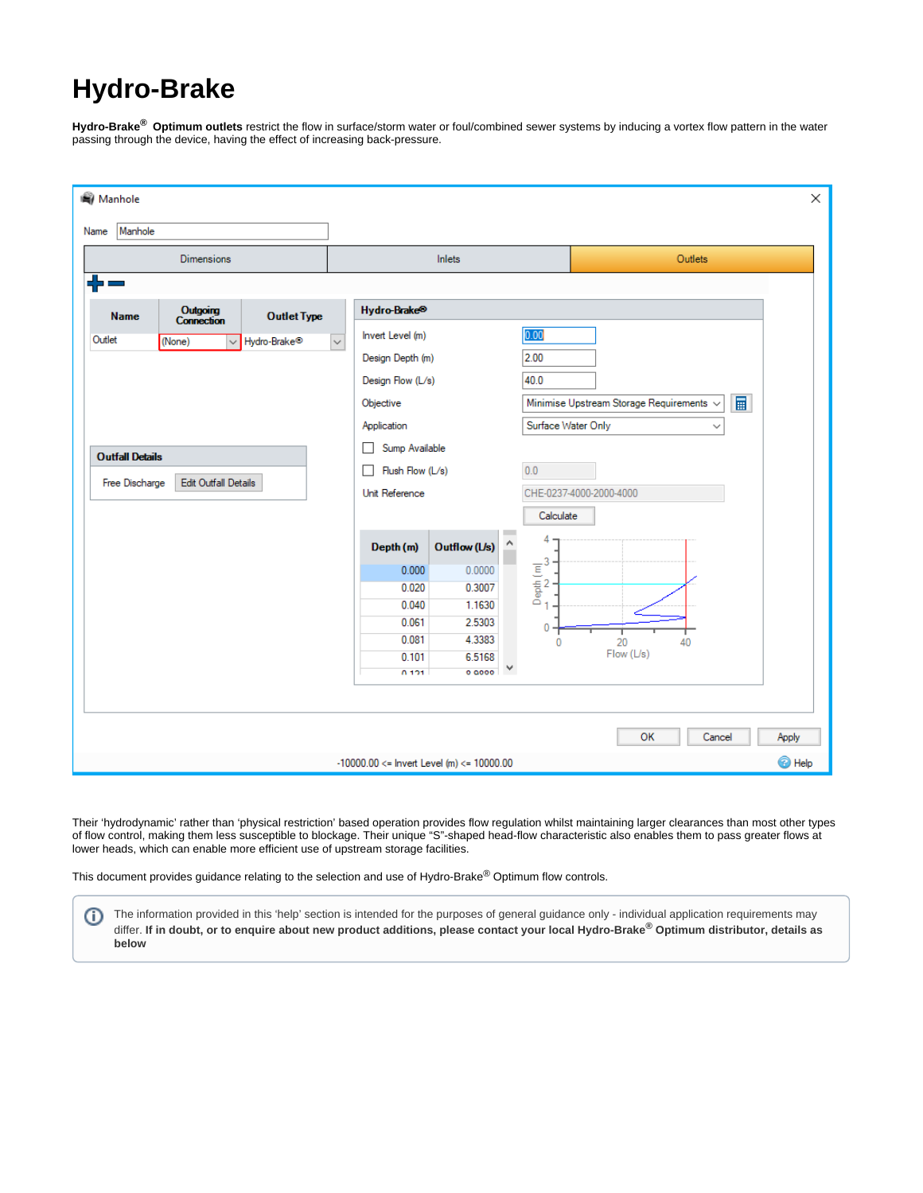# **Hydro-Brake**

**Hydro-Brake® Optimum outlets** restrict the flow in surface/storm water or foul/combined sewer systems by inducing a vortex flow pattern in the water passing through the device, having the effect of increasing back-pressure.

| <b>Manhole</b>                                                                                                                     |                                                                                                                                                                           | $\times$                                                                                                                                        |  |  |
|------------------------------------------------------------------------------------------------------------------------------------|---------------------------------------------------------------------------------------------------------------------------------------------------------------------------|-------------------------------------------------------------------------------------------------------------------------------------------------|--|--|
| Manhole<br>Name<br><b>Dimensions</b>                                                                                               | Inlets                                                                                                                                                                    | Outlets                                                                                                                                         |  |  |
| <b>Outgoing</b><br>Connection<br><b>Outlet Type</b><br><b>Name</b><br>Outlet<br>Hydro-Brake <sup>®</sup><br>(None)<br>$\checkmark$ | Hydro-Brake <sup>®</sup><br>Invert Level (m)<br>$\checkmark$<br>Design Depth (m)                                                                                          | 0.00<br>2.00                                                                                                                                    |  |  |
| <b>Outfall Details</b><br>Free Discharge<br><b>Edit Outfall Details</b>                                                            | Design Flow (L/s)<br>Objective<br>Application<br>Sump Available<br>$\Box$<br>Flush Flow (L/s)<br>П<br>Unit Reference                                                      | 40.0<br>冒<br>Minimise Upstream Storage Requirements $\sim$<br>Surface Water Only<br>$\checkmark$<br>0.0<br>CHE-0237-4000-2000-4000<br>Calculate |  |  |
|                                                                                                                                    | Α<br>Outflow (L/s)<br>Depth (m)<br>0.000<br>0.0000<br>0.020<br>0.3007<br>0.040<br>1.1630<br>0.061<br>2.5303<br>4.3383<br>0.081<br>6.5168<br>0.101<br>٧<br>0.0000<br>0.101 | 4<br>$\begin{array}{c}\n\overline{E} \\ \overline{E} \\ 2 \\ 0 \\ 1\n\end{array}$<br>0<br>20<br>0<br>40<br>Flow (L/s)                           |  |  |
| OK<br>Cancel<br>Apply<br><sup><sup>O</sup>Help</sup><br>$-10000.00 \le$ lnvert Level (m) $\le$ 10000.00                            |                                                                                                                                                                           |                                                                                                                                                 |  |  |

Their 'hydrodynamic' rather than 'physical restriction' based operation provides flow regulation whilst maintaining larger clearances than most other types of flow control, making them less susceptible to blockage. Their unique "S"-shaped head-flow characteristic also enables them to pass greater flows at lower heads, which can enable more efficient use of upstream storage facilities.

This document provides guidance relating to the selection and use of Hydro-Brake $^{\circledR}$  Optimum flow controls.

The information provided in this 'help' section is intended for the purposes of general guidance only - individual application requirements may O differ. If in doubt, or to enquire about new product additions, please contact your local Hydro-Brake® Optimum distributor, details as **below**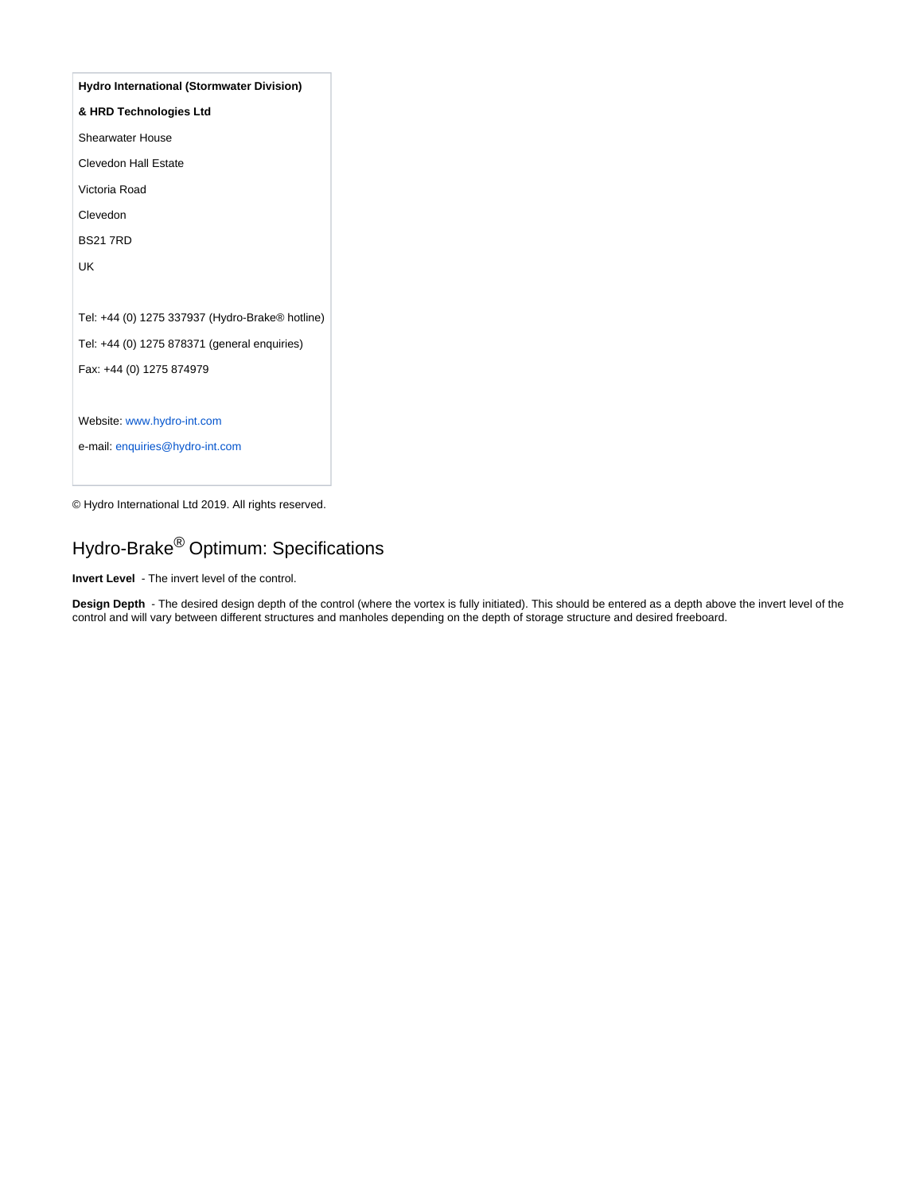| <b>Hydro International (Stormwater Division)</b> |
|--------------------------------------------------|
| & HRD Technologies Ltd                           |
| <b>Shearwater House</b>                          |
| Clevedon Hall Estate                             |
| Victoria Road                                    |
| Clevedon                                         |
| <b>BS21 7RD</b>                                  |
| UK                                               |
|                                                  |
| Tel: +44 (0) 1275 337937 (Hydro-Brake® hotline)  |
| Tel: +44 (0) 1275 878371 (general enquiries)     |
| Fax: +44 (0) 1275 874979                         |
|                                                  |
| Website: www.hydro-int.com                       |
| e-mail: enquiries@hydro-int.com                  |

© Hydro International Ltd 2019. All rights reserved.

# Hydro-Brake<sup>®</sup> Optimum: Specifications

**Invert Level** - The invert level of the control.

**Design Depth** - The desired design depth of the control (where the vortex is fully initiated). This should be entered as a depth above the invert level of the control and will vary between different structures and manholes depending on the depth of storage structure and desired freeboard.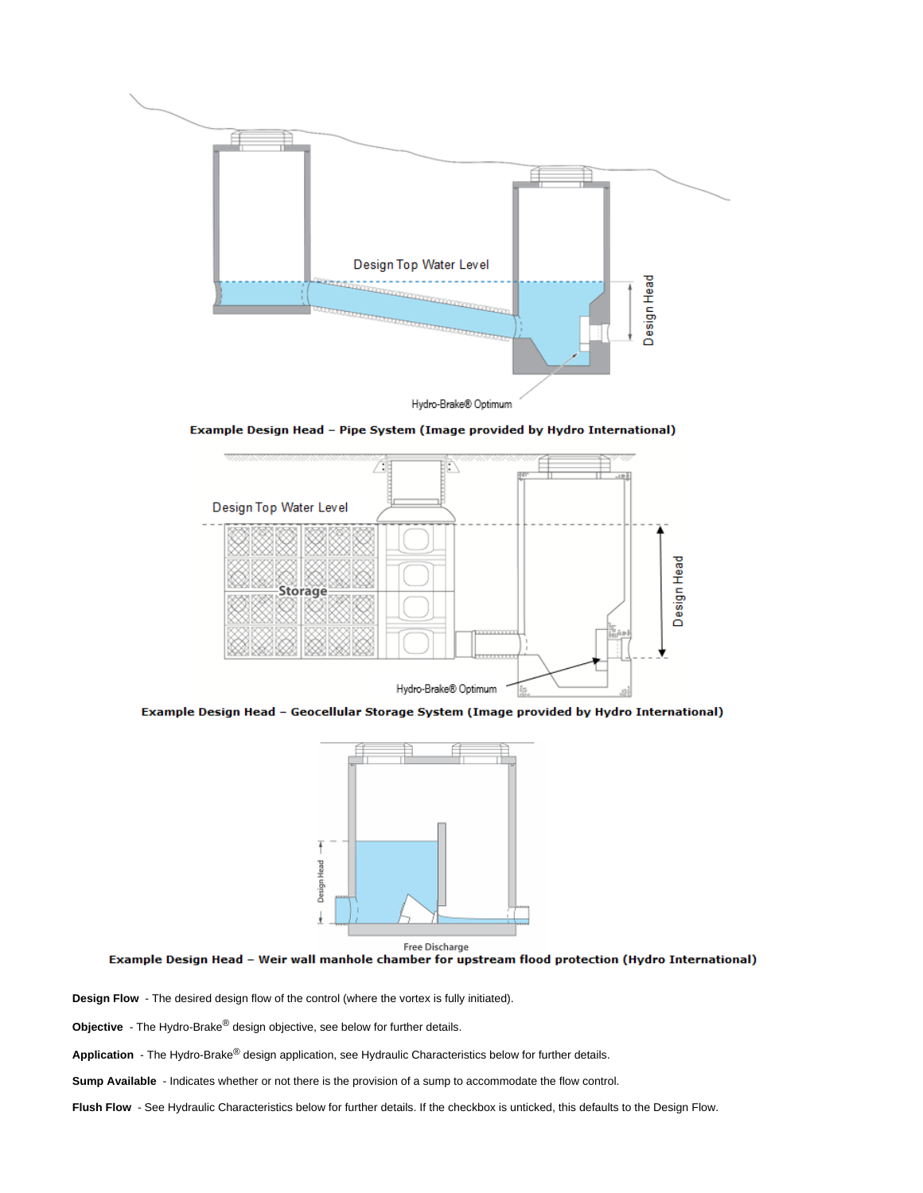

Example Design Head - Pipe System (Image provided by Hydro International)



Example Design Head - Geocellular Storage System (Image provided by Hydro International)





**Design Flow** - The desired design flow of the control (where the vortex is fully initiated).

**Objective** - The Hydro-Brake<sup>®</sup> design objective, see below for further details.

Application - The Hydro-Brake<sup>®</sup> design application, see Hydraulic Characteristics below for further details.

**Sump Available** - Indicates whether or not there is the provision of a sump to accommodate the flow control.

**Flush Flow** - See Hydraulic Characteristics below for further details. If the checkbox is unticked, this defaults to the Design Flow.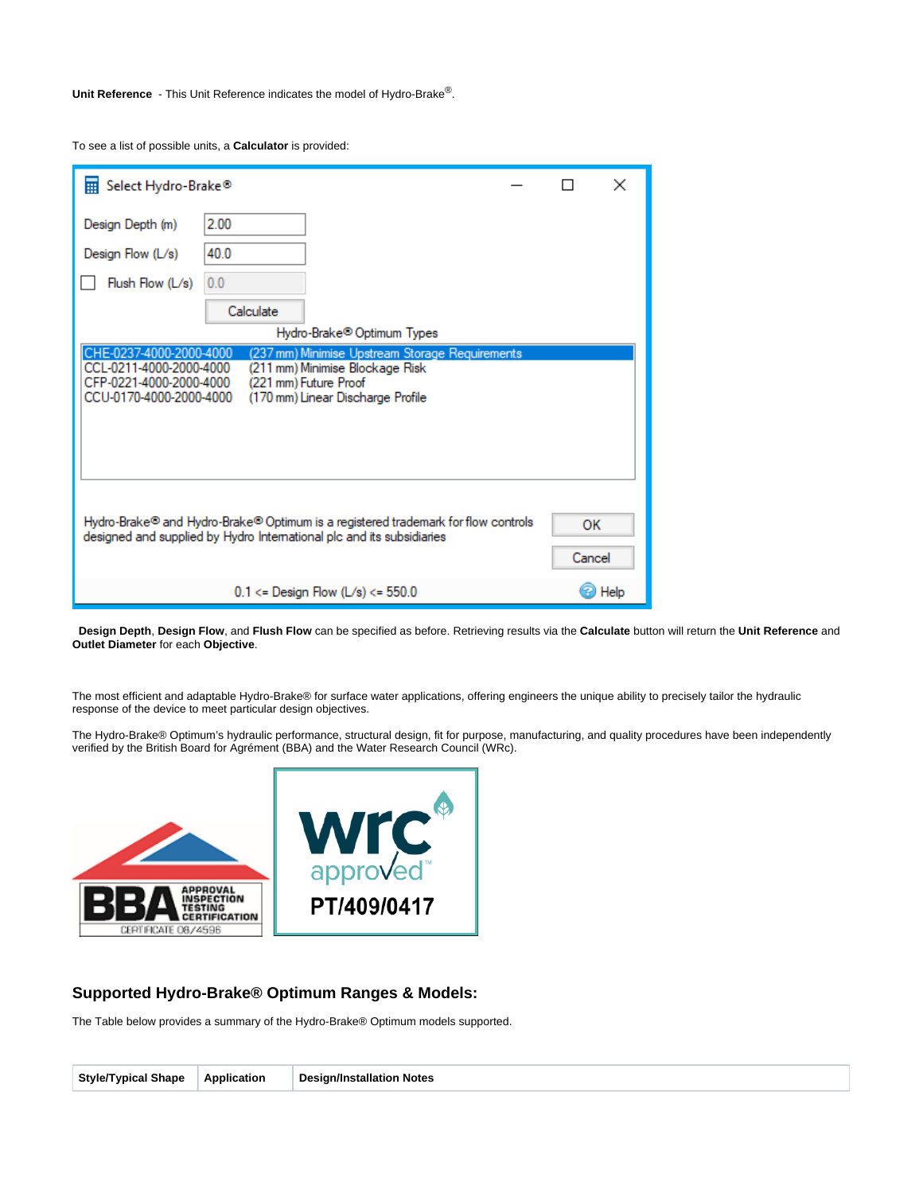**Unit Reference** - This Unit Reference indicates the model of Hydro-Brake<sup>®</sup>.

To see a list of possible units, a **Calculator** is provided:

| Select Hydro-Brake <sup>®</sup>                                                                                                                                                                                                                              |                                         | $\times$ |  |  |
|--------------------------------------------------------------------------------------------------------------------------------------------------------------------------------------------------------------------------------------------------------------|-----------------------------------------|----------|--|--|
| Design Depth (m)                                                                                                                                                                                                                                             | 2.00                                    |          |  |  |
| Design Flow (L/s)                                                                                                                                                                                                                                            | 40.0                                    |          |  |  |
| Flush Flow (L/s)                                                                                                                                                                                                                                             | 0.0                                     |          |  |  |
|                                                                                                                                                                                                                                                              | Calculate                               |          |  |  |
|                                                                                                                                                                                                                                                              | Hydro-Brake <sup>®</sup> Optimum Types  |          |  |  |
| CHE-0237-4000-2000-4000<br>(237 mm) Minimise Upstream Storage Requirements<br>CCL-0211-4000-2000-4000<br>(211 mm) Minimise Blockage Risk<br>CFP-0221-4000-2000-4000<br>(221 mm) Future Proof<br>CCU-0170-4000-2000-4000<br>(170 mm) Linear Discharge Profile |                                         |          |  |  |
| Hydro-Brake® and Hydro-Brake® Optimum is a registered trademark for flow controls<br>OK<br>designed and supplied by Hydro International plc and its subsidiaries<br>Cancel                                                                                   |                                         |          |  |  |
|                                                                                                                                                                                                                                                              | $0.1 \le$ Design Flow (L/s) $\le$ 550.0 | Help     |  |  |

 **Design Depth**, **Design Flow**, and **Flush Flow** can be specified as before. Retrieving results via the **Calculate** button will return the **Unit Reference** and **Outlet Diameter** for each **Objective**.

The most efficient and adaptable Hydro-Brake® for surface water applications, offering engineers the unique ability to precisely tailor the hydraulic response of the device to meet particular design objectives.

The Hydro-Brake® Optimum's hydraulic performance, structural design, fit for purpose, manufacturing, and quality procedures have been independently verified by the British Board for Agrément (BBA) and the Water Research Council (WRc).



## **Supported Hydro-Brake® Optimum Ranges & Models:**

The Table below provides a summary of the Hydro-Brake® Optimum models supported.

|--|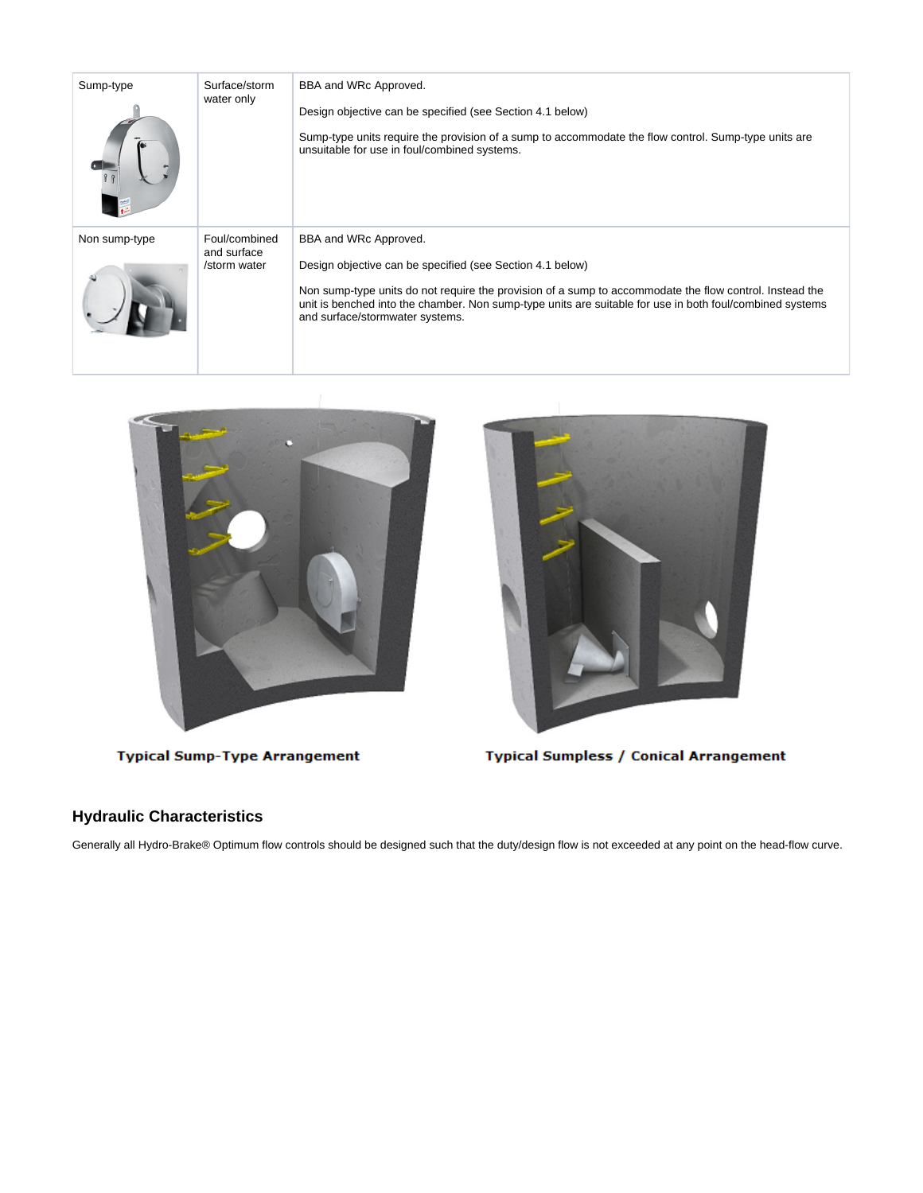| Sump-type     | Surface/storm<br>water only                  | BBA and WRc Approved.<br>Design objective can be specified (see Section 4.1 below)<br>Sump-type units require the provision of a sump to accommodate the flow control. Sump-type units are<br>unsuitable for use in foul/combined systems.                                                                                                   |
|---------------|----------------------------------------------|----------------------------------------------------------------------------------------------------------------------------------------------------------------------------------------------------------------------------------------------------------------------------------------------------------------------------------------------|
| Non sump-type | Foul/combined<br>and surface<br>/storm water | BBA and WRc Approved.<br>Design objective can be specified (see Section 4.1 below)<br>Non sump-type units do not require the provision of a sump to accommodate the flow control. Instead the<br>unit is benched into the chamber. Non sump-type units are suitable for use in both foul/combined systems<br>and surface/stormwater systems. |





**Typical Sump-Type Arrangement** 

**Typical Sumpless / Conical Arrangement** 

## **Hydraulic Characteristics**

Generally all Hydro-Brake® Optimum flow controls should be designed such that the duty/design flow is not exceeded at any point on the head-flow curve.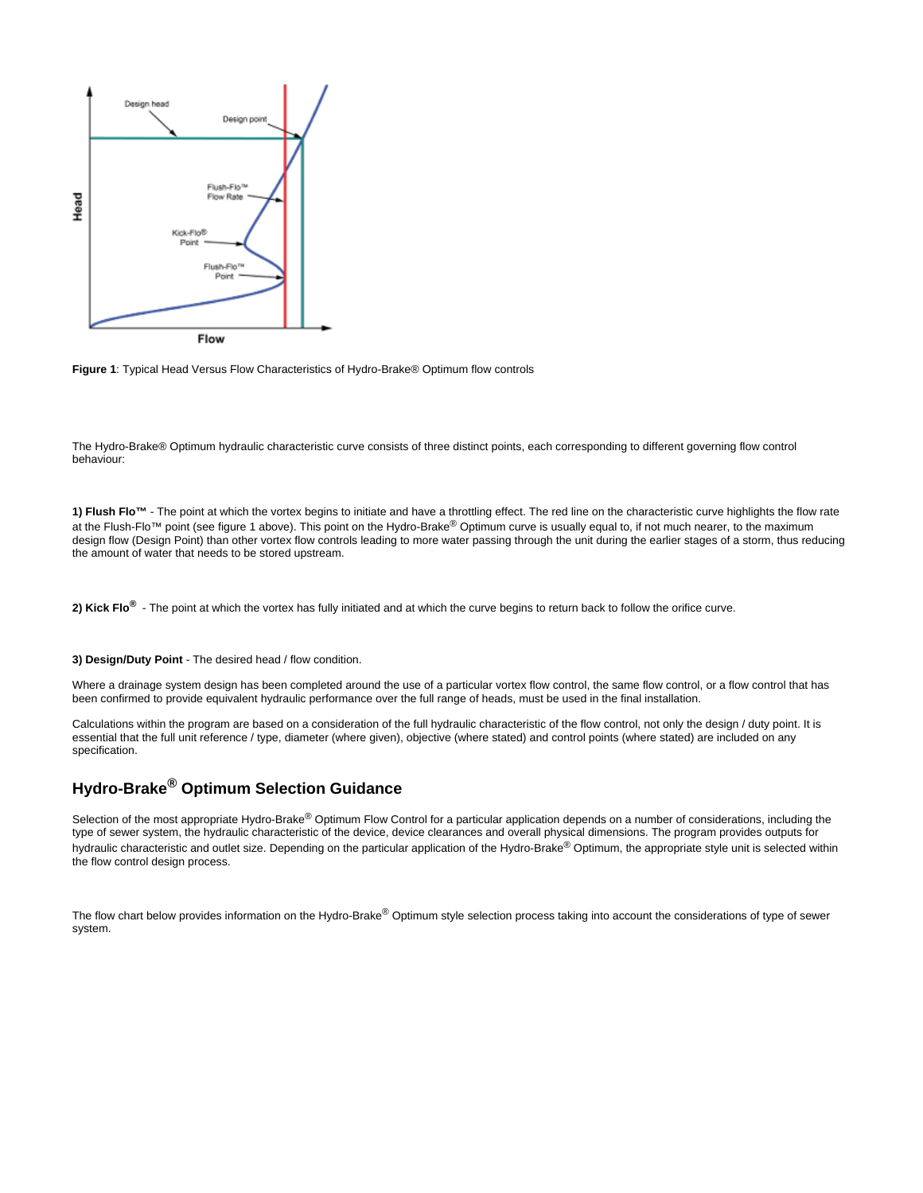



The Hydro-Brake® Optimum hydraulic characteristic curve consists of three distinct points, each corresponding to different governing flow control behaviour:

1) Flush Flo<sup>™</sup> - The point at which the vortex begins to initiate and have a throttling effect. The red line on the characteristic curve highlights the flow rate at the Flush-Flo™ point (see figure 1 above). This point on the Hydro-Brake<sup>®</sup> Optimum curve is usually equal to, if not much nearer, to the maximum design flow (Design Point) than other vortex flow controls leading to more water passing through the unit during the earlier stages of a storm, thus reducing the amount of water that needs to be stored upstream.

**2) Kick Flo®** - The point at which the vortex has fully initiated and at which the curve begins to return back to follow the orifice curve.

#### **3) Design/Duty Point** - The desired head / flow condition.

Where a drainage system design has been completed around the use of a particular vortex flow control, the same flow control, or a flow control that has been confirmed to provide equivalent hydraulic performance over the full range of heads, must be used in the final installation.

Calculations within the program are based on a consideration of the full hydraulic characteristic of the flow control, not only the design / duty point. It is essential that the full unit reference / type, diameter (where given), objective (where stated) and control points (where stated) are included on any specification.

## **Hydro-Brake<sup>®</sup> Optimum Selection Guidance**

Selection of the most appropriate Hydro-Brake® Optimum Flow Control for a particular application depends on a number of considerations, including the type of sewer system, the hydraulic characteristic of the device, device clearances and overall physical dimensions. The program provides outputs for hydraulic characteristic and outlet size. Depending on the particular application of the Hydro-Brake® Optimum, the appropriate style unit is selected within the flow control design process.

The flow chart below provides information on the Hydro-Brake® Optimum style selection process taking into account the considerations of type of sewer system.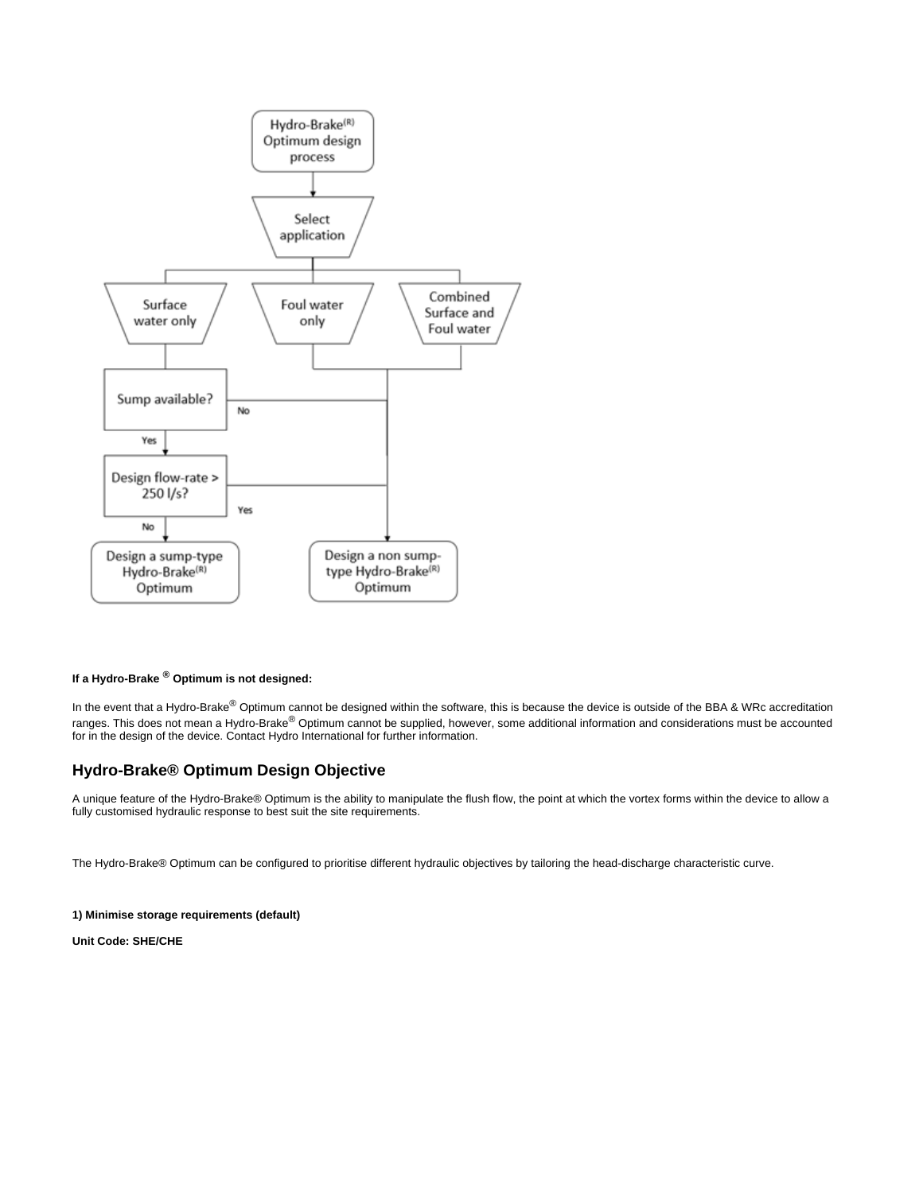

## If a Hydro-Brake  $^{\circledR}$  Optimum is not designed:

In the event that a Hydro-Brake <sup>®</sup> Optimum cannot be designed within the software, this is because the device is outside of the BBA & WRc accreditation ranges. This does not mean a Hydro-Brake® Optimum cannot be supplied, however, some additional information and considerations must be accounted for in the design of the device. Contact Hydro International for further information.

## **Hydro-Brake® Optimum Design Objective**

A unique feature of the Hydro-Brake® Optimum is the ability to manipulate the flush flow, the point at which the vortex forms within the device to allow a fully customised hydraulic response to best suit the site requirements.

The Hydro-Brake® Optimum can be configured to prioritise different hydraulic objectives by tailoring the head-discharge characteristic curve.

### **1) Minimise storage requirements (default)**

**Unit Code: SHE/CHE**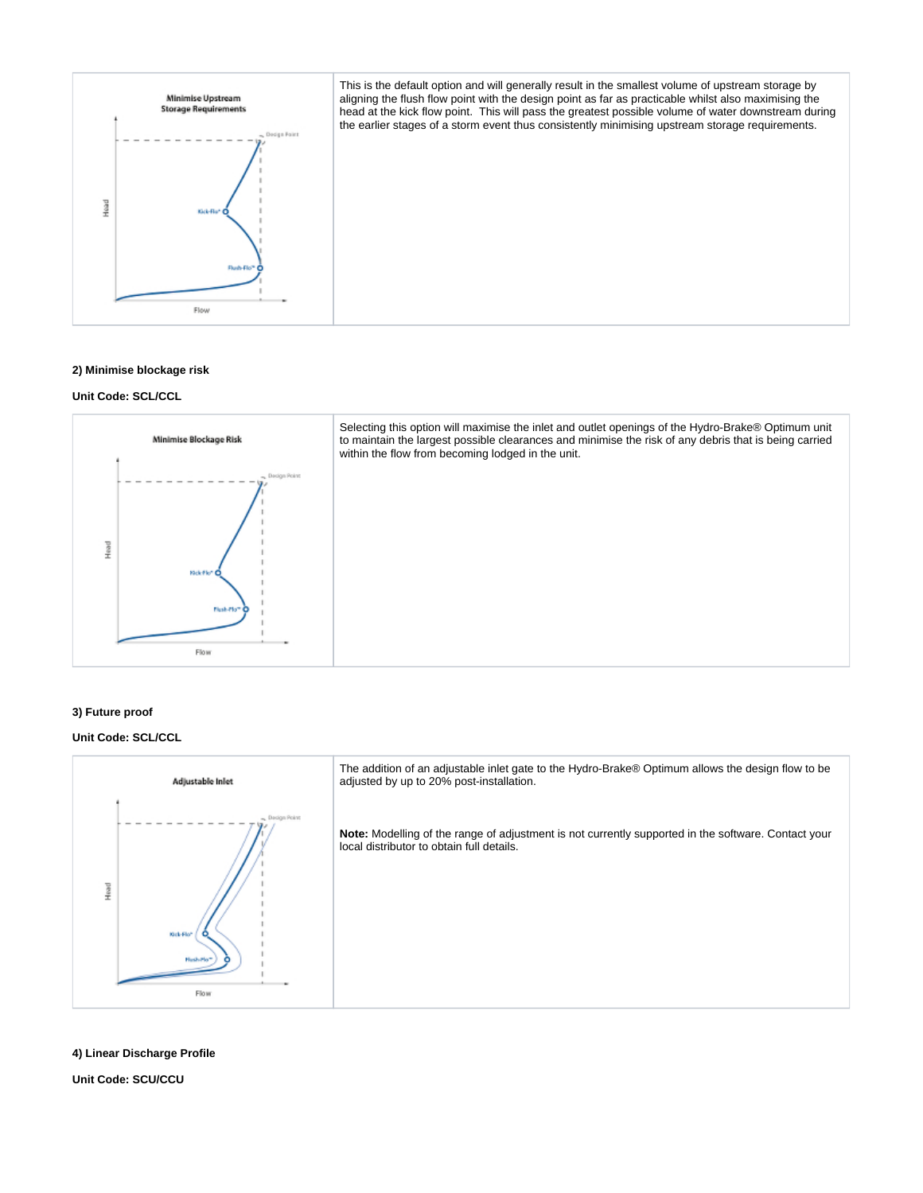

#### **2) Minimise blockage risk**

## **Unit Code: SCL/CCL**



## **3) Future proof**

### **Unit Code: SCL/CCL**



## **4) Linear Discharge Profile**

**Unit Code: SCU/CCU**